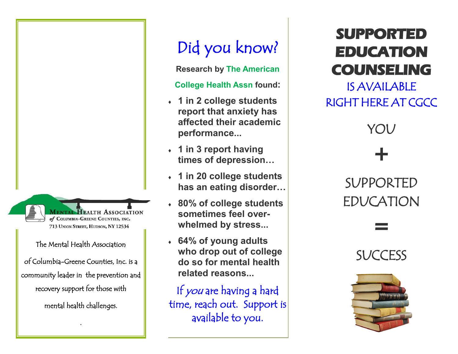*AENTAL HEALTH ASSOCIATION* of COLUMBIA-GREENE COUNTIES, INC. 713 UNION STREET, HUDSON, NY 12534

#### The Mental Health Association

of Columbia-Greene Counties, Inc. is a community leader in the prevention and recovery support for those with mental health challenges.

.

# Did you know?

**Research by The American** 

#### **College Health Assn found:**

- **1 in 2 college students report that anxiety has affected their academic performance...**
- **1 in 3 report having times of depression…**
- **1 in 20 college students has an eating disorder…**
- **80% of college students sometimes feel overwhelmed by stress...**
- **64% of young adults who drop out of college do so for mental health related reasons...**

If you are having a hard time, reach out. Support is available to you.

## **SUPPORTED EDUCATION COUNSELING**

IS AVAILABLE RIGHT HERE AT CGCC

YOU

 $+$ SUPPORTED EDUCATION =

**SUCCESS**